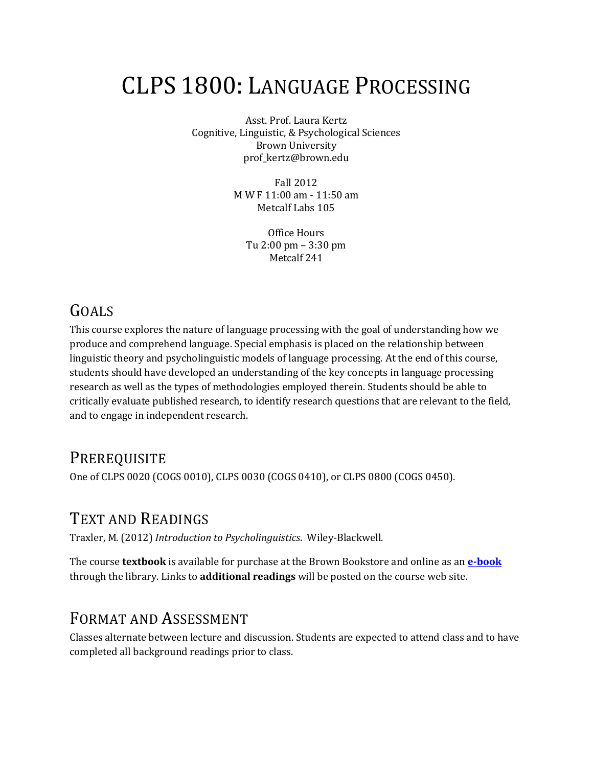# CLPS 1800: LANGUAGE PROCESSING

Asst. Prof. Laura Kertz Cognitive, Linguistic, & Psychological Sciences Brown University prof\_kertz@brown.edu

> Fall 2012 M W F 11:00 am - 11:50 am Metcalf Labs 105

> > Office Hours Tu 2:00 pm – 3:30 pm Metcalf 241

### GOALS

This course explores the nature of language processing with the goal of understanding how we produce and comprehend language. Special emphasis is placed on the relationship between linguistic theory and psycholinguistic models of language processing. At the end of this course, students should have developed an understanding of the key concepts in language processing research as well as the types of methodologies employed therein. Students should be able to critically evaluate published research, to identify research questions that are relevant to the field, and to engage in independent research.

#### **PREREQUISITE**

One of CLPS 0020 (COGS 0010), CLPS 0030 (COGS 0410), or CLPS 0800 (COGS 0450).

#### TEXT AND READINGS

Traxler, M. (2012) *Introduction to Psycholinguistics*. Wiley-Blackwell.

The course **textbook** is available for purchase at the Brown Bookstore and online as an **[e-book](http://josiah.brown.edu/record=b6065434~S7)** through the library. Links to **additional readings** will be posted on the course web site.

#### FORMAT AND ASSESSMENT

Classes alternate between lecture and discussion. Students are expected to attend class and to have completed all background readings prior to class.